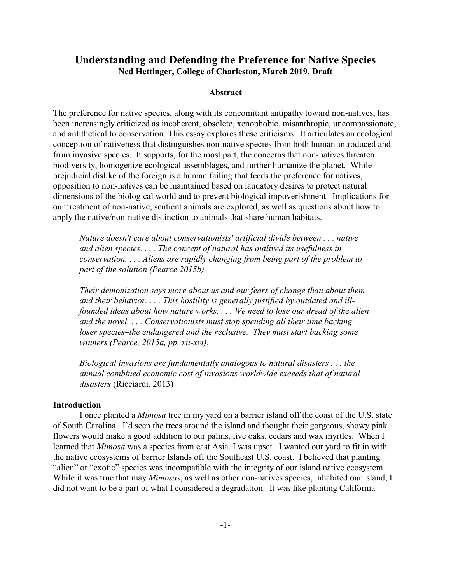# **Understanding and Defending the Preference for Native Species Ned Hettinger, College of Charleston, March 2019, Draft**

#### **Abstract**

The preference for native species, along with its concomitant antipathy toward non-natives, has been increasingly criticized as incoherent, obsolete, xenophobic, misanthropic, uncompassionate, and antithetical to conservation. This essay explores these criticisms. It articulates an ecological conception of nativeness that distinguishes non-native species from both human-introduced and from invasive species. It supports, for the most part, the concerns that non-natives threaten biodiversity, homogenize ecological assemblages, and further humanize the planet. While prejudicial dislike of the foreign is a human failing that feeds the preference for natives, opposition to non-natives can be maintained based on laudatory desires to protect natural dimensions of the biological world and to prevent biological impoverishment. Implications for our treatment of non-native, sentient animals are explored, as well as questions about how to apply the native/non-native distinction to animals that share human habitats.

*Nature doesn't care about conservationists' artificial divide between . . . native and alien species. . . . The concept of natural has outlived its usefulness in conservation. . . . Aliens are rapidly changing from being part of the problem to part of the solution (Pearce 2015b).*

*Their demonization says more about us and our fears of change than about them and their behavior. . . . This hostility is generally justified by outdated and illfounded ideas about how nature works. . . . We need to lose our dread of the alien and the novel. . . . Conservationists must stop spending all their time backing loser species–the endangered and the reclusive. They must start backing some winners (Pearce, 2015a, pp. xii-xvi).* 

*Biological invasions are fundamentally analogous to natural disasters . . . the annual combined economic cost of invasions worldwide exceeds that of natural disasters* (Ricciardi, 2013)

### **Introduction**

I once planted a *Mimosa* tree in my yard on a barrier island off the coast of the U.S. state of South Carolina. I'd seen the trees around the island and thought their gorgeous, showy pink flowers would make a good addition to our palms, live oaks, cedars and wax myrtles. When I learned that *Mimosa* was a species from east Asia, I was upset. I wanted our yard to fit in with the native ecosystems of barrier Islands off the Southeast U.S. coast. I believed that planting "alien" or "exotic" species was incompatible with the integrity of our island native ecosystem. While it was true that may *Mimosas*, as well as other non-natives species, inhabited our island, I did not want to be a part of what I considered a degradation. It was like planting California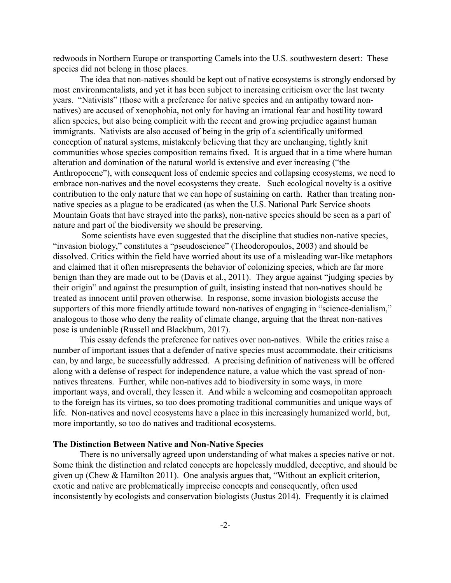redwoods in Northern Europe or transporting Camels into the U.S. southwestern desert: These species did not belong in those places.

The idea that non-natives should be kept out of native ecosystems is strongly endorsed by most environmentalists, and yet it has been subject to increasing criticism over the last twenty years. "Nativists" (those with a preference for native species and an antipathy toward nonnatives) are accused of xenophobia, not only for having an irrational fear and hostility toward alien species, but also being complicit with the recent and growing prejudice against human immigrants. Nativists are also accused of being in the grip of a scientifically uniformed conception of natural systems, mistakenly believing that they are unchanging, tightly knit communities whose species composition remains fixed. It is argued that in a time where human alteration and domination of the natural world is extensive and ever increasing ("the Anthropocene"), with consequent loss of endemic species and collapsing ecosystems, we need to embrace non-natives and the novel ecosystems they create. Such ecological novelty is a ositive contribution to the only nature that we can hope of sustaining on earth. Rather than treating nonnative species as a plague to be eradicated (as when the U.S. National Park Service shoots Mountain Goats that have strayed into the parks), non-native species should be seen as a part of nature and part of the biodiversity we should be preserving.

 Some scientists have even suggested that the discipline that studies non-native species, "invasion biology," constitutes a "pseudoscience" (Theodoropoulos, 2003) and should be dissolved. Critics within the field have worried about its use of a misleading war-like metaphors and claimed that it often misrepresents the behavior of colonizing species, which are far more benign than they are made out to be (Davis et al., 2011). They argue against "judging species by their origin" and against the presumption of guilt, insisting instead that non-natives should be treated as innocent until proven otherwise. In response, some invasion biologists accuse the supporters of this more friendly attitude toward non-natives of engaging in "science-denialism," analogous to those who deny the reality of climate change, arguing that the threat non-natives pose is undeniable (Russell and Blackburn, 2017).

This essay defends the preference for natives over non-natives. While the critics raise a number of important issues that a defender of native species must accommodate, their criticisms can, by and large, be successfully addressed. A precising definition of nativeness will be offered along with a defense of respect for independence nature, a value which the vast spread of nonnatives threatens. Further, while non-natives add to biodiversity in some ways, in more important ways, and overall, they lessen it. And while a welcoming and cosmopolitan approach to the foreign has its virtues, so too does promoting traditional communities and unique ways of life. Non-natives and novel ecosystems have a place in this increasingly humanized world, but, more importantly, so too do natives and traditional ecosystems.

#### **The Distinction Between Native and Non-Native Species**

There is no universally agreed upon understanding of what makes a species native or not. Some think the distinction and related concepts are hopelessly muddled, deceptive, and should be given up (Chew & Hamilton 2011). One analysis argues that, "Without an explicit criterion, exotic and native are problematically imprecise concepts and consequently, often used inconsistently by ecologists and conservation biologists (Justus 2014). Frequently it is claimed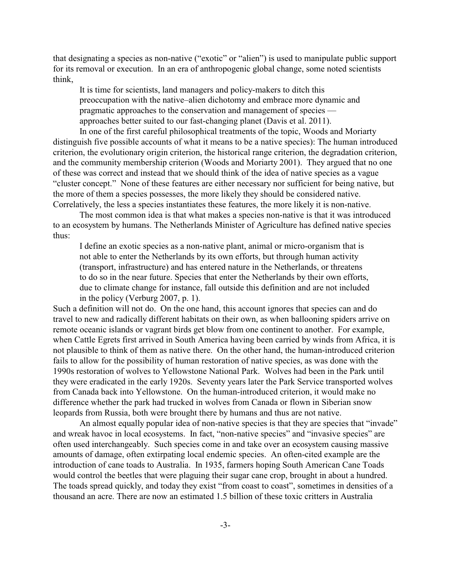that designating a species as non-native ("exotic" or "alien") is used to manipulate public support for its removal or execution. In an era of anthropogenic global change, some noted scientists think,

It is time for scientists, land managers and policy-makers to ditch this preoccupation with the native–alien dichotomy and embrace more dynamic and pragmatic approaches to the conservation and management of species approaches better suited to our fast-changing planet (Davis et al. 2011).

In one of the first careful philosophical treatments of the topic, Woods and Moriarty distinguish five possible accounts of what it means to be a native species): The human introduced criterion, the evolutionary origin criterion, the historical range criterion, the degradation criterion, and the community membership criterion (Woods and Moriarty 2001). They argued that no one of these was correct and instead that we should think of the idea of native species as a vague "cluster concept." None of these features are either necessary nor sufficient for being native, but the more of them a species possesses, the more likely they should be considered native. Correlatively, the less a species instantiates these features, the more likely it is non-native.

The most common idea is that what makes a species non-native is that it was introduced to an ecosystem by humans. The Netherlands Minister of Agriculture has defined native species thus:

I define an exotic species as a non-native plant, animal or micro-organism that is not able to enter the Netherlands by its own efforts, but through human activity (transport, infrastructure) and has entered nature in the Netherlands, or threatens to do so in the near future. Species that enter the Netherlands by their own efforts, due to climate change for instance, fall outside this definition and are not included in the policy (Verburg 2007, p. 1).

Such a definition will not do. On the one hand, this account ignores that species can and do travel to new and radically different habitats on their own, as when ballooning spiders arrive on remote oceanic islands or vagrant birds get blow from one continent to another. For example, when Cattle Egrets first arrived in South America having been carried by winds from Africa, it is not plausible to think of them as native there. On the other hand, the human-introduced criterion fails to allow for the possibility of human restoration of native species, as was done with the 1990s restoration of wolves to Yellowstone National Park. Wolves had been in the Park until they were eradicated in the early 1920s. Seventy years later the Park Service transported wolves from Canada back into Yellowstone. On the human-introduced criterion, it would make no difference whether the park had trucked in wolves from Canada or flown in Siberian snow leopards from Russia, both were brought there by humans and thus are not native.

An almost equally popular idea of non-native species is that they are species that "invade" and wreak havoc in local ecosystems. In fact, "non-native species" and "invasive species" are often used interchangeably. Such species come in and take over an ecosystem causing massive amounts of damage, often extirpating local endemic species. An often-cited example are the introduction of cane toads to Australia. In 1935, farmers hoping South American Cane Toads would control the beetles that were plaguing their sugar cane crop, brought in about a hundred. The toads spread quickly, and today they exist "from coast to coast", sometimes in densities of a thousand an acre. There are now an estimated 1.5 billion of these toxic critters in Australia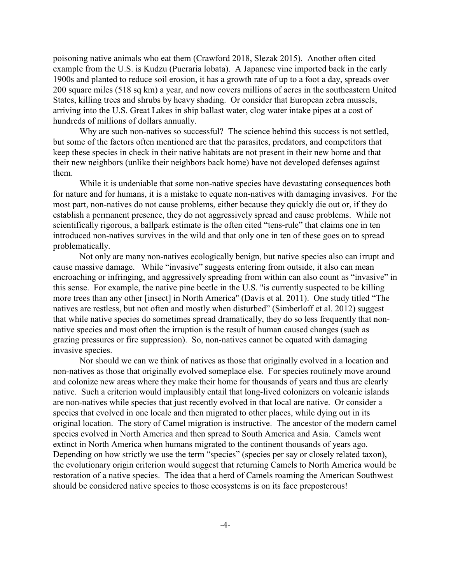poisoning native animals who eat them (Crawford 2018, Slezak 2015). Another often cited example from the U.S. is Kudzu (Pueraria lobata). A Japanese vine imported back in the early 1900s and planted to reduce soil erosion, it has a growth rate of up to a foot a day, spreads over 200 square miles (518 sq km) a year, and now covers millions of acres in the southeastern United States, killing trees and shrubs by heavy shading. Or consider that European zebra mussels, arriving into the U.S. Great Lakes in ship ballast water, clog water intake pipes at a cost of hundreds of millions of dollars annually.

Why are such non-natives so successful? The science behind this success is not settled, but some of the factors often mentioned are that the parasites, predators, and competitors that keep these species in check in their native habitats are not present in their new home and that their new neighbors (unlike their neighbors back home) have not developed defenses against them.

While it is undeniable that some non-native species have devastating consequences both for nature and for humans, it is a mistake to equate non-natives with damaging invasives. For the most part, non-natives do not cause problems, either because they quickly die out or, if they do establish a permanent presence, they do not aggressively spread and cause problems. While not scientifically rigorous, a ballpark estimate is the often cited "tens-rule" that claims one in ten introduced non-natives survives in the wild and that only one in ten of these goes on to spread problematically.

Not only are many non-natives ecologically benign, but native species also can irrupt and cause massive damage. While "invasive" suggests entering from outside, it also can mean encroaching or infringing, and aggressively spreading from within can also count as "invasive" in this sense. For example, the native pine beetle in the U.S. "is currently suspected to be killing more trees than any other [insect] in North America" (Davis et al. 2011). One study titled "The natives are restless, but not often and mostly when disturbed" (Simberloff et al. 2012) suggest that while native species do sometimes spread dramatically, they do so less frequently that nonnative species and most often the irruption is the result of human caused changes (such as grazing pressures or fire suppression). So, non-natives cannot be equated with damaging invasive species.

Nor should we can we think of natives as those that originally evolved in a location and non-natives as those that originally evolved someplace else. For species routinely move around and colonize new areas where they make their home for thousands of years and thus are clearly native. Such a criterion would implausibly entail that long-lived colonizers on volcanic islands are non-natives while species that just recently evolved in that local are native. Or consider a species that evolved in one locale and then migrated to other places, while dying out in its original location. The story of Camel migration is instructive. The ancestor of the modern camel species evolved in North America and then spread to South America and Asia. Camels went extinct in North America when humans migrated to the continent thousands of years ago. Depending on how strictly we use the term "species" (species per say or closely related taxon), the evolutionary origin criterion would suggest that returning Camels to North America would be restoration of a native species. The idea that a herd of Camels roaming the American Southwest should be considered native species to those ecosystems is on its face preposterous!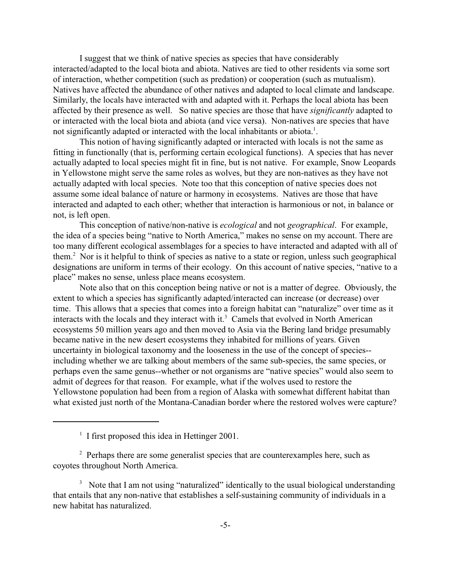I suggest that we think of native species as species that have considerably interacted/adapted to the local biota and abiota. Natives are tied to other residents via some sort of interaction, whether competition (such as predation) or cooperation (such as mutualism). Natives have affected the abundance of other natives and adapted to local climate and landscape. Similarly, the locals have interacted with and adapted with it. Perhaps the local abiota has been affected by their presence as well. So native species are those that have *significantly* adapted to or interacted with the local biota and abiota (and vice versa). Non-natives are species that have not significantly adapted or interacted with the local inhabitants or abiota.<sup>1</sup>.

This notion of having significantly adapted or interacted with locals is not the same as fitting in functionally (that is, performing certain ecological functions). A species that has never actually adapted to local species might fit in fine, but is not native. For example, Snow Leopards in Yellowstone might serve the same roles as wolves, but they are non-natives as they have not actually adapted with local species. Note too that this conception of native species does not assume some ideal balance of nature or harmony in ecosystems. Natives are those that have interacted and adapted to each other; whether that interaction is harmonious or not, in balance or not, is left open.

This conception of native/non-native is *ecological* and not *geographical*. For example, the idea of a species being "native to North America," makes no sense on my account. There are too many different ecological assemblages for a species to have interacted and adapted with all of them. $\degree$  Nor is it helpful to think of species as native to a state or region, unless such geographical designations are uniform in terms of their ecology. On this account of native species, "native to a place" makes no sense, unless place means ecosystem.

Note also that on this conception being native or not is a matter of degree. Obviously, the extent to which a species has significantly adapted/interacted can increase (or decrease) over time. This allows that a species that comes into a foreign habitat can "naturalize" over time as it interacts with the locals and they interact with it.<sup>3</sup> Camels that evolved in North American ecosystems 50 million years ago and then moved to Asia via the Bering land bridge presumably became native in the new desert ecosystems they inhabited for millions of years. Given uncertainty in biological taxonomy and the looseness in the use of the concept of species- including whether we are talking about members of the same sub-species, the same species, or perhaps even the same genus--whether or not organisms are "native species" would also seem to admit of degrees for that reason. For example, what if the wolves used to restore the Yellowstone population had been from a region of Alaska with somewhat different habitat than what existed just north of the Montana-Canadian border where the restored wolves were capture?

 $\frac{1}{1}$  I first proposed this idea in Hettinger 2001.

 $P$  Perhaps there are some generalist species that are counterexamples here, such as coyotes throughout North America.

<sup>&</sup>lt;sup>3</sup> Note that I am not using "naturalized" identically to the usual biological understanding that entails that any non-native that establishes a self-sustaining community of individuals in a new habitat has naturalized.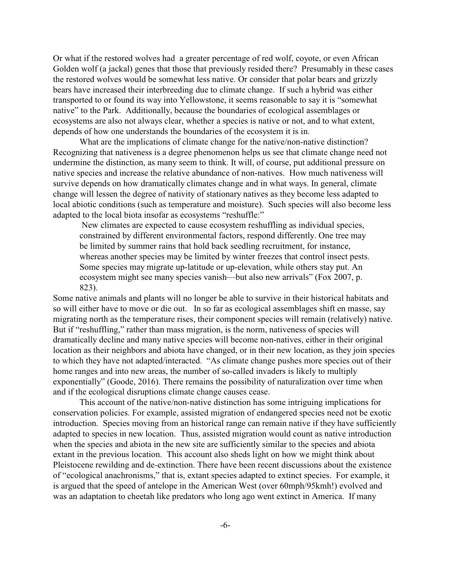Or what if the restored wolves had a greater percentage of red wolf, coyote, or even African Golden wolf (a jackal) genes that those that previously resided there? Presumably in these cases the restored wolves would be somewhat less native. Or consider that polar bears and grizzly bears have increased their interbreeding due to climate change. If such a hybrid was either transported to or found its way into Yellowstone, it seems reasonable to say it is "somewhat native" to the Park. Additionally, because the boundaries of ecological assemblages or ecosystems are also not always clear, whether a species is native or not, and to what extent, depends of how one understands the boundaries of the ecosystem it is in.

What are the implications of climate change for the native/non-native distinction? Recognizing that nativeness is a degree phenomenon helps us see that climate change need not undermine the distinction, as many seem to think. It will, of course, put additional pressure on native species and increase the relative abundance of non-natives. How much nativeness will survive depends on how dramatically climates change and in what ways. In general, climate change will lessen the degree of nativity of stationary natives as they become less adapted to local abiotic conditions (such as temperature and moisture). Such species will also become less adapted to the local biota insofar as ecosystems "reshuffle:"

 New climates are expected to cause ecosystem reshuffling as individual species, constrained by different environmental factors, respond differently. One tree may be limited by summer rains that hold back seedling recruitment, for instance, whereas another species may be limited by winter freezes that control insect pests. Some species may migrate up-latitude or up-elevation, while others stay put. An ecosystem might see many species vanish—but also new arrivals" (Fox 2007, p. 823).

Some native animals and plants will no longer be able to survive in their historical habitats and so will either have to move or die out. In so far as ecological assemblages shift en masse, say migrating north as the temperature rises, their component species will remain (relatively) native. But if "reshuffling," rather than mass migration, is the norm, nativeness of species will dramatically decline and many native species will become non-natives, either in their original location as their neighbors and abiota have changed, or in their new location, as they join species to which they have not adapted/interacted. "As climate change pushes more species out of their home ranges and into new areas, the number of so-called invaders is likely to multiply exponentially" (Goode, 2016). There remains the possibility of naturalization over time when and if the ecological disruptions climate change causes cease.

This account of the native/non-native distinction has some intriguing implications for conservation policies. For example, assisted migration of endangered species need not be exotic introduction. Species moving from an historical range can remain native if they have sufficiently adapted to species in new location. Thus, assisted migration would count as native introduction when the species and abiota in the new site are sufficiently similar to the species and abiota extant in the previous location. This account also sheds light on how we might think about Pleistocene rewilding and de-extinction. There have been recent discussions about the existence of "ecological anachronisms," that is, extant species adapted to extinct species. For example, it is argued that the speed of antelope in the American West (over 60mph/95kmh!) evolved and was an adaptation to cheetah like predators who long ago went extinct in America. If many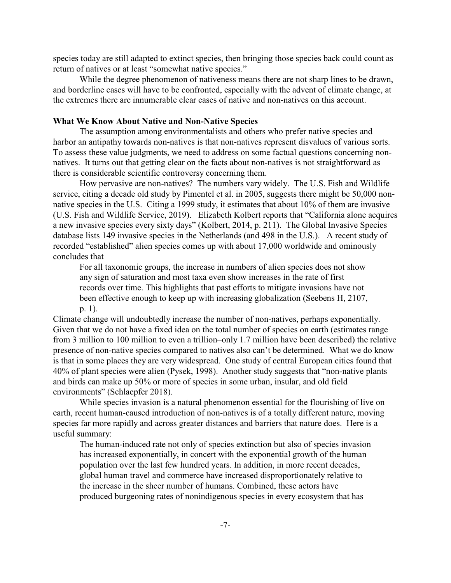species today are still adapted to extinct species, then bringing those species back could count as return of natives or at least "somewhat native species."

While the degree phenomenon of nativeness means there are not sharp lines to be drawn, and borderline cases will have to be confronted, especially with the advent of climate change, at the extremes there are innumerable clear cases of native and non-natives on this account.

# **What We Know About Native and Non-Native Species**

The assumption among environmentalists and others who prefer native species and harbor an antipathy towards non-natives is that non-natives represent disvalues of various sorts. To assess these value judgments, we need to address on some factual questions concerning nonnatives. It turns out that getting clear on the facts about non-natives is not straightforward as there is considerable scientific controversy concerning them.

How pervasive are non-natives? The numbers vary widely. The U.S. Fish and Wildlife service, citing a decade old study by Pimentel et al. in 2005, suggests there might be 50,000 nonnative species in the U.S. Citing a 1999 study, it estimates that about 10% of them are invasive (U.S. Fish and Wildlife Service, 2019). Elizabeth Kolbert reports that "California alone acquires a new invasive species every sixty days" (Kolbert, 2014, p. 211). The Global Invasive Species database lists 149 invasive species in the Netherlands (and 498 in the U.S.). A recent study of recorded "established" alien species comes up with about 17,000 worldwide and ominously concludes that

For all taxonomic groups, the increase in numbers of alien species does not show any sign of saturation and most taxa even show increases in the rate of first records over time. This highlights that past efforts to mitigate invasions have not been effective enough to keep up with increasing globalization (Seebens H, 2107, p. 1).

Climate change will undoubtedly increase the number of non-natives, perhaps exponentially. Given that we do not have a fixed idea on the total number of species on earth (estimates range from 3 million to 100 million to even a trillion–only 1.7 million have been described) the relative presence of non-native species compared to natives also can't be determined. What we do know is that in some places they are very widespread. One study of central European cities found that 40% of plant species were alien (Pysek, 1998). Another study suggests that "non-native plants and birds can make up 50% or more of species in some urban, insular, and old field environments" (Schlaepfer 2018).

While species invasion is a natural phenomenon essential for the flourishing of live on earth, recent human-caused introduction of non-natives is of a totally different nature, moving species far more rapidly and across greater distances and barriers that nature does. Here is a useful summary:

The human-induced rate not only of species extinction but also of species invasion has increased exponentially, in concert with the exponential growth of the human population over the last few hundred years. In addition, in more recent decades, global human travel and commerce have increased disproportionately relative to the increase in the sheer number of humans. Combined, these actors have produced burgeoning rates of nonindigenous species in every ecosystem that has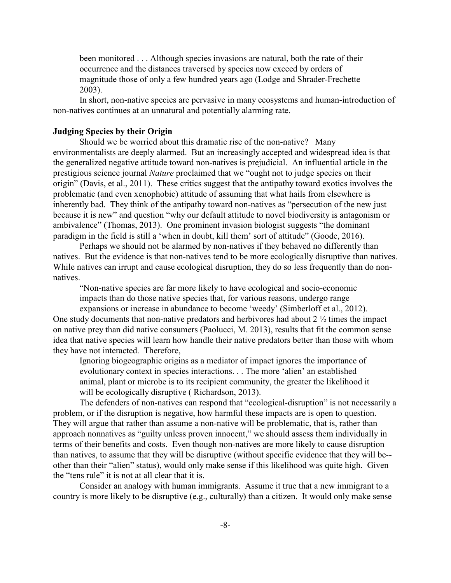been monitored . . . Although species invasions are natural, both the rate of their occurrence and the distances traversed by species now exceed by orders of magnitude those of only a few hundred years ago (Lodge and Shrader-Frechette 2003).

In short, non-native species are pervasive in many ecosystems and human-introduction of non-natives continues at an unnatural and potentially alarming rate.

# **Judging Species by their Origin**

Should we be worried about this dramatic rise of the non-native? Many environmentalists are deeply alarmed. But an increasingly accepted and widespread idea is that the generalized negative attitude toward non-natives is prejudicial. An influential article in the prestigious science journal *Nature* proclaimed that we "ought not to judge species on their origin" (Davis, et al., 2011). These critics suggest that the antipathy toward exotics involves the problematic (and even xenophobic) attitude of assuming that what hails from elsewhere is inherently bad. They think of the antipathy toward non-natives as "persecution of the new just because it is new" and question "why our default attitude to novel biodiversity is antagonism or ambivalence" (Thomas, 2013). One prominent invasion biologist suggests "the dominant paradigm in the field is still a 'when in doubt, kill them' sort of attitude" (Goode, 2016).

Perhaps we should not be alarmed by non-natives if they behaved no differently than natives. But the evidence is that non-natives tend to be more ecologically disruptive than natives. While natives can irrupt and cause ecological disruption, they do so less frequently than do nonnatives.

"Non-native species are far more likely to have ecological and socio-economic impacts than do those native species that, for various reasons, undergo range

expansions or increase in abundance to become 'weedy' (Simberloff et al., 2012). One study documents that non-native predators and herbivores had about 2 ½ times the impact on native prey than did native consumers (Paolucci, M. 2013), results that fit the common sense idea that native species will learn how handle their native predators better than those with whom they have not interacted. Therefore,

Ignoring biogeographic origins as a mediator of impact ignores the importance of evolutionary context in species interactions. . . The more 'alien' an established animal, plant or microbe is to its recipient community, the greater the likelihood it will be ecologically disruptive ( Richardson, 2013).

The defenders of non-natives can respond that "ecological-disruption" is not necessarily a problem, or if the disruption is negative, how harmful these impacts are is open to question. They will argue that rather than assume a non-native will be problematic, that is, rather than approach nonnatives as "guilty unless proven innocent," we should assess them individually in terms of their benefits and costs. Even though non-natives are more likely to cause disruption than natives, to assume that they will be disruptive (without specific evidence that they will be- other than their "alien" status), would only make sense if this likelihood was quite high. Given the "tens rule" it is not at all clear that it is.

Consider an analogy with human immigrants. Assume it true that a new immigrant to a country is more likely to be disruptive (e.g., culturally) than a citizen. It would only make sense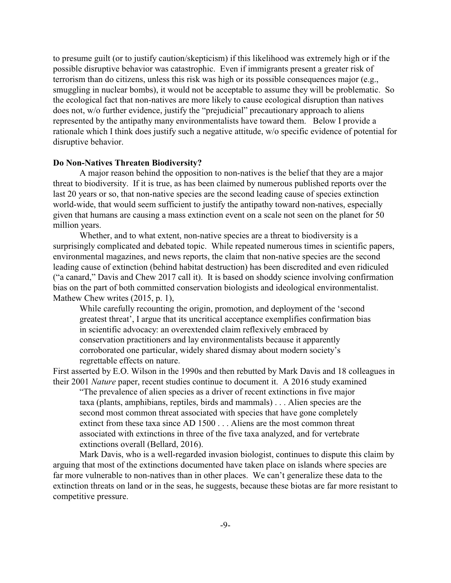to presume guilt (or to justify caution/skepticism) if this likelihood was extremely high or if the possible disruptive behavior was catastrophic. Even if immigrants present a greater risk of terrorism than do citizens, unless this risk was high or its possible consequences major (e.g., smuggling in nuclear bombs), it would not be acceptable to assume they will be problematic. So the ecological fact that non-natives are more likely to cause ecological disruption than natives does not, w/o further evidence, justify the "prejudicial" precautionary approach to aliens represented by the antipathy many environmentalists have toward them. Below I provide a rationale which I think does justify such a negative attitude, w/o specific evidence of potential for disruptive behavior.

### **Do Non-Natives Threaten Biodiversity?**

A major reason behind the opposition to non-natives is the belief that they are a major threat to biodiversity. If it is true, as has been claimed by numerous published reports over the last 20 years or so, that non-native species are the second leading cause of species extinction world-wide, that would seem sufficient to justify the antipathy toward non-natives, especially given that humans are causing a mass extinction event on a scale not seen on the planet for 50 million years.

Whether, and to what extent, non-native species are a threat to biodiversity is a surprisingly complicated and debated topic. While repeated numerous times in scientific papers, environmental magazines, and news reports, the claim that non-native species are the second leading cause of extinction (behind habitat destruction) has been discredited and even ridiculed ("a canard," Davis and Chew 2017 call it). It is based on shoddy science involving confirmation bias on the part of both committed conservation biologists and ideological environmentalist. Mathew Chew writes (2015, p. 1),

While carefully recounting the origin, promotion, and deployment of the 'second greatest threat', I argue that its uncritical acceptance exemplifies confirmation bias in scientific advocacy: an overextended claim reflexively embraced by conservation practitioners and lay environmentalists because it apparently corroborated one particular, widely shared dismay about modern society's regrettable effects on nature.

First asserted by E.O. Wilson in the 1990s and then rebutted by Mark Davis and 18 colleagues in their 2001 *Nature* paper, recent studies continue to document it. A 2016 study examined

"The prevalence of alien species as a driver of recent extinctions in five major taxa (plants, amphibians, reptiles, birds and mammals) . . . Alien species are the second most common threat associated with species that have gone completely extinct from these taxa since AD 1500 . . . Aliens are the most common threat associated with extinctions in three of the five taxa analyzed, and for vertebrate extinctions overall (Bellard, 2016).

Mark Davis, who is a well-regarded invasion biologist, continues to dispute this claim by arguing that most of the extinctions documented have taken place on islands where species are far more vulnerable to non-natives than in other places. We can't generalize these data to the extinction threats on land or in the seas, he suggests, because these biotas are far more resistant to competitive pressure.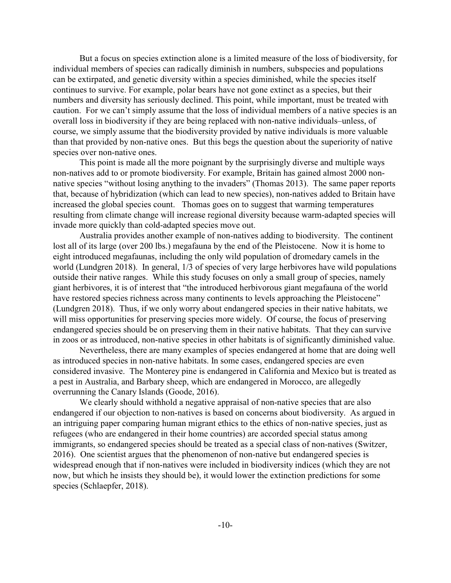But a focus on species extinction alone is a limited measure of the loss of biodiversity, for individual members of species can radically diminish in numbers, subspecies and populations can be extirpated, and genetic diversity within a species diminished, while the species itself continues to survive. For example, polar bears have not gone extinct as a species, but their numbers and diversity has seriously declined. This point, while important, must be treated with caution. For we can't simply assume that the loss of individual members of a native species is an overall loss in biodiversity if they are being replaced with non-native individuals–unless, of course, we simply assume that the biodiversity provided by native individuals is more valuable than that provided by non-native ones. But this begs the question about the superiority of native species over non-native ones.

This point is made all the more poignant by the surprisingly diverse and multiple ways non-natives add to or promote biodiversity. For example, Britain has gained almost 2000 nonnative species "without losing anything to the invaders" (Thomas 2013). The same paper reports that, because of hybridization (which can lead to new species), non-natives added to Britain have increased the global species count. Thomas goes on to suggest that warming temperatures resulting from climate change will increase regional diversity because warm-adapted species will invade more quickly than cold-adapted species move out.

Australia provides another example of non-natives adding to biodiversity. The continent lost all of its large (over 200 lbs.) megafauna by the end of the Pleistocene. Now it is home to eight introduced megafaunas, including the only wild population of dromedary camels in the world (Lundgren 2018). In general, 1/3 of species of very large herbivores have wild populations outside their native ranges. While this study focuses on only a small group of species, namely giant herbivores, it is of interest that "the introduced herbivorous giant megafauna of the world have restored species richness across many continents to levels approaching the Pleistocene" (Lundgren 2018). Thus, if we only worry about endangered species in their native habitats, we will miss opportunities for preserving species more widely. Of course, the focus of preserving endangered species should be on preserving them in their native habitats. That they can survive in zoos or as introduced, non-native species in other habitats is of significantly diminished value.

Nevertheless, there are many examples of species endangered at home that are doing well as introduced species in non-native habitats. In some cases, endangered species are even considered invasive. The Monterey pine is endangered in California and Mexico but is treated as a pest in Australia, and Barbary sheep, which are endangered in Morocco, are allegedly overrunning the Canary Islands (Goode, 2016).

We clearly should withhold a negative appraisal of non-native species that are also endangered if our objection to non-natives is based on concerns about biodiversity. As argued in an intriguing paper comparing human migrant ethics to the ethics of non-native species, just as refugees (who are endangered in their home countries) are accorded special status among immigrants, so endangered species should be treated as a special class of non-natives (Switzer, 2016). One scientist argues that the phenomenon of non-native but endangered species is widespread enough that if non-natives were included in biodiversity indices (which they are not now, but which he insists they should be), it would lower the extinction predictions for some species (Schlaepfer, 2018).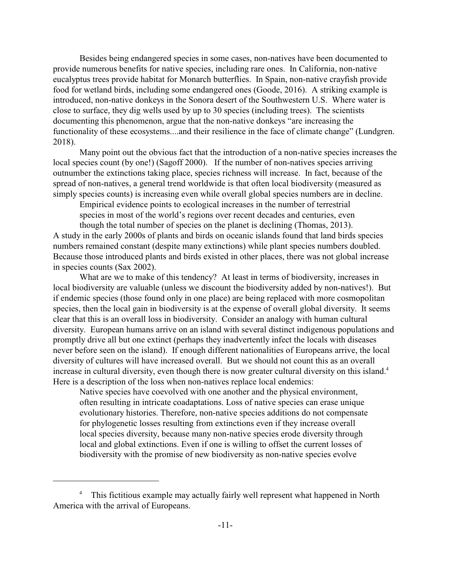Besides being endangered species in some cases, non-natives have been documented to provide numerous benefits for native species, including rare ones. In California, non-native eucalyptus trees provide habitat for Monarch butterflies. In Spain, non-native crayfish provide food for wetland birds, including some endangered ones (Goode, 2016). A striking example is introduced, non-native donkeys in the Sonora desert of the Southwestern U.S. Where water is close to surface, they dig wells used by up to 30 species (including trees). The scientists documenting this phenomenon, argue that the non-native donkeys "are increasing the functionality of these ecosystems....and their resilience in the face of climate change" (Lundgren. 2018).

Many point out the obvious fact that the introduction of a non-native species increases the local species count (by one!) (Sagoff 2000). If the number of non-natives species arriving outnumber the extinctions taking place, species richness will increase. In fact, because of the spread of non-natives, a general trend worldwide is that often local biodiversity (measured as simply species counts) is increasing even while overall global species numbers are in decline.

Empirical evidence points to ecological increases in the number of terrestrial species in most of the world's regions over recent decades and centuries, even

though the total number of species on the planet is declining (Thomas, 2013). A study in the early 2000s of plants and birds on oceanic islands found that land birds species numbers remained constant (despite many extinctions) while plant species numbers doubled. Because those introduced plants and birds existed in other places, there was not global increase in species counts (Sax 2002).

What are we to make of this tendency? At least in terms of biodiversity, increases in local biodiversity are valuable (unless we discount the biodiversity added by non-natives!). But if endemic species (those found only in one place) are being replaced with more cosmopolitan species, then the local gain in biodiversity is at the expense of overall global diversity. It seems clear that this is an overall loss in biodiversity. Consider an analogy with human cultural diversity. European humans arrive on an island with several distinct indigenous populations and promptly drive all but one extinct (perhaps they inadvertently infect the locals with diseases never before seen on the island). If enough different nationalities of Europeans arrive, the local diversity of cultures will have increased overall. But we should not count this as an overall increase in cultural diversity, even though there is now greater cultural diversity on this island.<sup>4</sup> Here is a description of the loss when non-natives replace local endemics:

Native species have coevolved with one another and the physical environment, often resulting in intricate coadaptations. Loss of native species can erase unique evolutionary histories. Therefore, non-native species additions do not compensate for phylogenetic losses resulting from extinctions even if they increase overall local species diversity, because many non-native species erode diversity through local and global extinctions. Even if one is willing to offset the current losses of biodiversity with the promise of new biodiversity as non-native species evolve

<sup>&</sup>lt;sup>4</sup> This fictitious example may actually fairly well represent what happened in North America with the arrival of Europeans.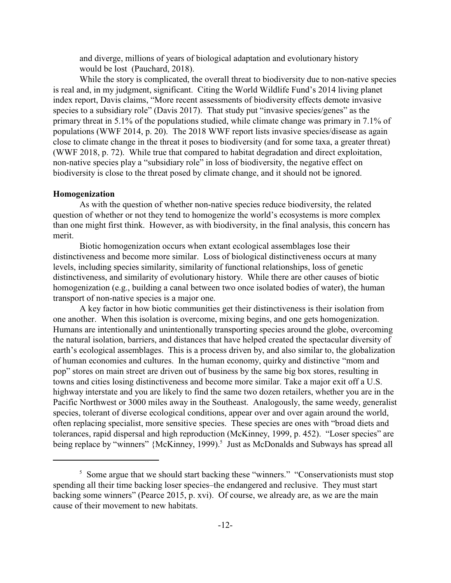and diverge, millions of years of biological adaptation and evolutionary history would be lost (Pauchard, 2018).

While the story is complicated, the overall threat to biodiversity due to non-native species is real and, in my judgment, significant. Citing the World Wildlife Fund's 2014 living planet index report, Davis claims, "More recent assessments of biodiversity effects demote invasive species to a subsidiary role" (Davis 2017). That study put "invasive species/genes" as the primary threat in 5.1% of the populations studied, while climate change was primary in 7.1% of populations (WWF 2014, p. 20). The 2018 WWF report lists invasive species/disease as again close to climate change in the threat it poses to biodiversity (and for some taxa, a greater threat) (WWF 2018, p. 72). While true that compared to habitat degradation and direct exploitation, non-native species play a "subsidiary role" in loss of biodiversity, the negative effect on biodiversity is close to the threat posed by climate change, and it should not be ignored.

# **Homogenization**

As with the question of whether non-native species reduce biodiversity, the related question of whether or not they tend to homogenize the world's ecosystems is more complex than one might first think. However, as with biodiversity, in the final analysis, this concern has merit.

Biotic homogenization occurs when extant ecological assemblages lose their distinctiveness and become more similar. Loss of biological distinctiveness occurs at many levels, including species similarity, similarity of functional relationships, loss of genetic distinctiveness, and similarity of evolutionary history. While there are other causes of biotic homogenization (e.g., building a canal between two once isolated bodies of water), the human transport of non-native species is a major one.

A key factor in how biotic communities get their distinctiveness is their isolation from one another. When this isolation is overcome, mixing begins, and one gets homogenization. Humans are intentionally and unintentionally transporting species around the globe, overcoming the natural isolation, barriers, and distances that have helped created the spectacular diversity of earth's ecological assemblages. This is a process driven by, and also similar to, the globalization of human economies and cultures. In the human economy, quirky and distinctive "mom and pop" stores on main street are driven out of business by the same big box stores, resulting in towns and cities losing distinctiveness and become more similar. Take a major exit off a U.S. highway interstate and you are likely to find the same two dozen retailers, whether you are in the Pacific Northwest or 3000 miles away in the Southeast. Analogously, the same weedy, generalist species, tolerant of diverse ecological conditions, appear over and over again around the world, often replacing specialist, more sensitive species. These species are ones with "broad diets and tolerances, rapid dispersal and high reproduction (McKinney, 1999, p. 452). "Loser species" are being replace by "winners" {McKinney, 1999).<sup>5</sup> Just as McDonalds and Subways has spread all

 $\frac{1}{5}$  Some argue that we should start backing these "winners." "Conservationists must stop spending all their time backing loser species–the endangered and reclusive. They must start backing some winners" (Pearce 2015, p. xvi). Of course, we already are, as we are the main cause of their movement to new habitats.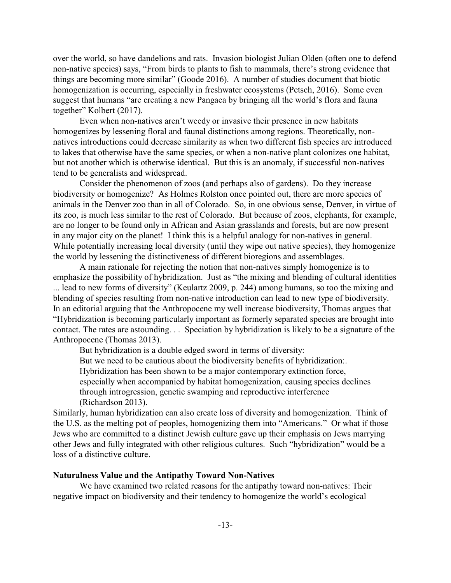over the world, so have dandelions and rats. Invasion biologist Julian Olden (often one to defend non-native species) says, "From birds to plants to fish to mammals, there's strong evidence that things are becoming more similar" (Goode 2016). A number of studies document that biotic homogenization is occurring, especially in freshwater ecosystems (Petsch, 2016). Some even suggest that humans "are creating a new Pangaea by bringing all the world's flora and fauna together" Kolbert (2017).

Even when non-natives aren't weedy or invasive their presence in new habitats homogenizes by lessening floral and faunal distinctions among regions. Theoretically, nonnatives introductions could decrease similarity as when two different fish species are introduced to lakes that otherwise have the same species, or when a non-native plant colonizes one habitat, but not another which is otherwise identical. But this is an anomaly, if successful non-natives tend to be generalists and widespread.

Consider the phenomenon of zoos (and perhaps also of gardens). Do they increase biodiversity or homogenize? As Holmes Rolston once pointed out, there are more species of animals in the Denver zoo than in all of Colorado. So, in one obvious sense, Denver, in virtue of its zoo, is much less similar to the rest of Colorado. But because of zoos, elephants, for example, are no longer to be found only in African and Asian grasslands and forests, but are now present in any major city on the planet! I think this is a helpful analogy for non-natives in general. While potentially increasing local diversity (until they wipe out native species), they homogenize the world by lessening the distinctiveness of different bioregions and assemblages.

A main rationale for rejecting the notion that non-natives simply homogenize is to emphasize the possibility of hybridization. Just as "the mixing and blending of cultural identities ... lead to new forms of diversity" (Keulartz 2009, p. 244) among humans, so too the mixing and blending of species resulting from non-native introduction can lead to new type of biodiversity. In an editorial arguing that the Anthropocene my well increase biodiversity, Thomas argues that "Hybridization is becoming particularly important as formerly separated species are brought into contact. The rates are astounding. . . Speciation by hybridization is likely to be a signature of the Anthropocene (Thomas 2013).

But hybridization is a double edged sword in terms of diversity: But we need to be cautious about the biodiversity benefits of hybridization:. Hybridization has been shown to be a major contemporary extinction force, especially when accompanied by habitat homogenization, causing species declines through introgression, genetic swamping and reproductive interference (Richardson 2013).

Similarly, human hybridization can also create loss of diversity and homogenization. Think of the U.S. as the melting pot of peoples, homogenizing them into "Americans." Or what if those Jews who are committed to a distinct Jewish culture gave up their emphasis on Jews marrying other Jews and fully integrated with other religious cultures. Such "hybridization" would be a loss of a distinctive culture.

# **Naturalness Value and the Antipathy Toward Non-Natives**

We have examined two related reasons for the antipathy toward non-natives: Their negative impact on biodiversity and their tendency to homogenize the world's ecological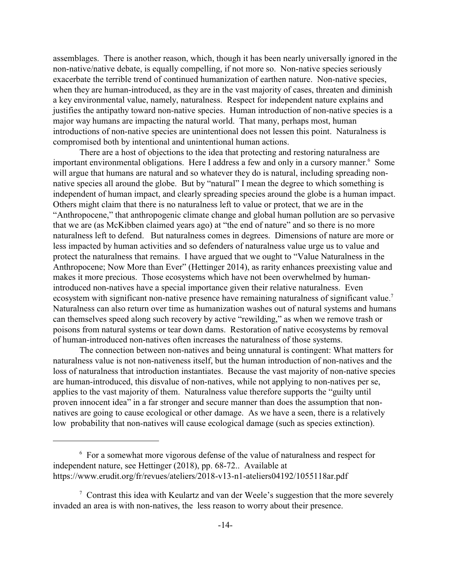assemblages. There is another reason, which, though it has been nearly universally ignored in the non-native/native debate, is equally compelling, if not more so. Non-native species seriously exacerbate the terrible trend of continued humanization of earthen nature. Non-native species, when they are human-introduced, as they are in the vast majority of cases, threaten and diminish a key environmental value, namely, naturalness. Respect for independent nature explains and justifies the antipathy toward non-native species. Human introduction of non-native species is a major way humans are impacting the natural world. That many, perhaps most, human introductions of non-native species are unintentional does not lessen this point. Naturalness is compromised both by intentional and unintentional human actions.

There are a host of objections to the idea that protecting and restoring naturalness are important environmental obligations. Here I address a few and only in a cursory manner.<sup>6</sup> Some will argue that humans are natural and so whatever they do is natural, including spreading nonnative species all around the globe. But by "natural" I mean the degree to which something is independent of human impact, and clearly spreading species around the globe is a human impact. Others might claim that there is no naturalness left to value or protect, that we are in the "Anthropocene," that anthropogenic climate change and global human pollution are so pervasive that we are (as McKibben claimed years ago) at "the end of nature" and so there is no more naturalness left to defend. But naturalness comes in degrees. Dimensions of nature are more or less impacted by human activities and so defenders of naturalness value urge us to value and protect the naturalness that remains. I have argued that we ought to "Value Naturalness in the Anthropocene; Now More than Ever" (Hettinger 2014), as rarity enhances preexisting value and makes it more precious. Those ecosystems which have not been overwhelmed by humanintroduced non-natives have a special importance given their relative naturalness. Even ecosystem with significant non-native presence have remaining naturalness of significant value.<sup>7</sup> Naturalness can also return over time as humanization washes out of natural systems and humans can themselves speed along such recovery by active "rewilding," as when we remove trash or poisons from natural systems or tear down dams. Restoration of native ecosystems by removal of human-introduced non-natives often increases the naturalness of those systems.

The connection between non-natives and being unnatural is contingent: What matters for naturalness value is not non-nativeness itself, but the human introduction of non-natives and the loss of naturalness that introduction instantiates. Because the vast majority of non-native species are human-introduced, this disvalue of non-natives, while not applying to non-natives per se, applies to the vast majority of them. Naturalness value therefore supports the "guilty until proven innocent idea" in a far stronger and secure manner than does the assumption that nonnatives are going to cause ecological or other damage. As we have a seen, there is a relatively low probability that non-natives will cause ecological damage (such as species extinction).

 $6\,$  For a somewhat more vigorous defense of the value of naturalness and respect for independent nature, see Hettinger (2018), pp. 68-72.. Available at https://www.erudit.org/fr/revues/ateliers/2018-v13-n1-ateliers04192/1055118ar.pdf

 $\alpha$  Contrast this idea with Keulartz and van der Weele's suggestion that the more severely invaded an area is with non-natives, the less reason to worry about their presence.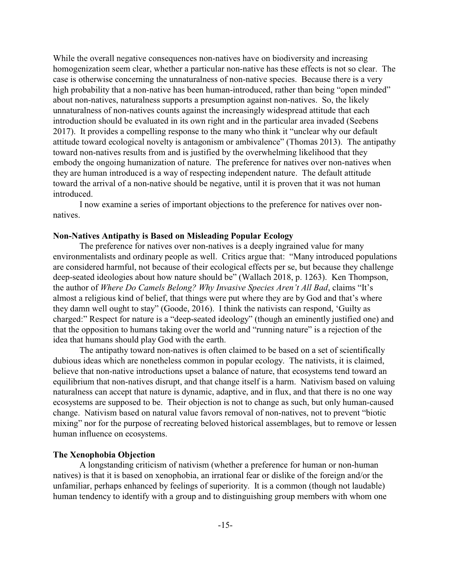While the overall negative consequences non-natives have on biodiversity and increasing homogenization seem clear, whether a particular non-native has these effects is not so clear. The case is otherwise concerning the unnaturalness of non-native species. Because there is a very high probability that a non-native has been human-introduced, rather than being "open minded" about non-natives, naturalness supports a presumption against non-natives. So, the likely unnaturalness of non-natives counts against the increasingly widespread attitude that each introduction should be evaluated in its own right and in the particular area invaded (Seebens 2017). It provides a compelling response to the many who think it "unclear why our default attitude toward ecological novelty is antagonism or ambivalence" (Thomas 2013). The antipathy toward non-natives results from and is justified by the overwhelming likelihood that they embody the ongoing humanization of nature. The preference for natives over non-natives when they are human introduced is a way of respecting independent nature. The default attitude toward the arrival of a non-native should be negative, until it is proven that it was not human introduced.

I now examine a series of important objections to the preference for natives over nonnatives.

# **Non-Natives Antipathy is Based on Misleading Popular Ecology**

The preference for natives over non-natives is a deeply ingrained value for many environmentalists and ordinary people as well. Critics argue that: "Many introduced populations are considered harmful, not because of their ecological effects per se, but because they challenge deep-seated ideologies about how nature should be" (Wallach 2018, p. 1263). Ken Thompson, the author of *Where Do Camels Belong? Why Invasive Species Aren't All Bad*, claims "It's almost a religious kind of belief, that things were put where they are by God and that's where they damn well ought to stay" (Goode, 2016). I think the nativists can respond, 'Guilty as charged:" Respect for nature is a "deep-seated ideology" (though an eminently justified one) and that the opposition to humans taking over the world and "running nature" is a rejection of the idea that humans should play God with the earth.

The antipathy toward non-natives is often claimed to be based on a set of scientifically dubious ideas which are nonetheless common in popular ecology. The nativists, it is claimed, believe that non-native introductions upset a balance of nature, that ecosystems tend toward an equilibrium that non-natives disrupt, and that change itself is a harm. Nativism based on valuing naturalness can accept that nature is dynamic, adaptive, and in flux, and that there is no one way ecosystems are supposed to be. Their objection is not to change as such, but only human-caused change. Nativism based on natural value favors removal of non-natives, not to prevent "biotic mixing" nor for the purpose of recreating beloved historical assemblages, but to remove or lessen human influence on ecosystems.

# **The Xenophobia Objection**

A longstanding criticism of nativism (whether a preference for human or non-human natives) is that it is based on xenophobia, an irrational fear or dislike of the foreign and/or the unfamiliar, perhaps enhanced by feelings of superiority. It is a common (though not laudable) human tendency to identify with a group and to distinguishing group members with whom one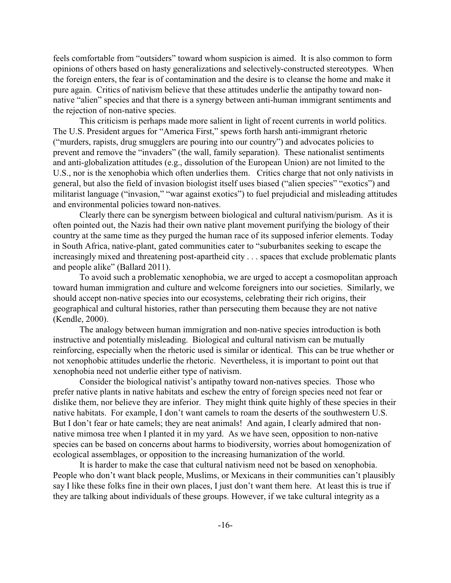feels comfortable from "outsiders" toward whom suspicion is aimed. It is also common to form opinions of others based on hasty generalizations and selectively-constructed stereotypes. When the foreign enters, the fear is of contamination and the desire is to cleanse the home and make it pure again. Critics of nativism believe that these attitudes underlie the antipathy toward nonnative "alien" species and that there is a synergy between anti-human immigrant sentiments and the rejection of non-native species.

This criticism is perhaps made more salient in light of recent currents in world politics. The U.S. President argues for "America First," spews forth harsh anti-immigrant rhetoric ("murders, rapists, drug smugglers are pouring into our country") and advocates policies to prevent and remove the "invaders" (the wall, family separation). These nationalist sentiments and anti-globalization attitudes (e.g., dissolution of the European Union) are not limited to the U.S., nor is the xenophobia which often underlies them. Critics charge that not only nativists in general, but also the field of invasion biologist itself uses biased ("alien species" "exotics") and militarist language ("invasion," "war against exotics") to fuel prejudicial and misleading attitudes and environmental policies toward non-natives.

Clearly there can be synergism between biological and cultural nativism/purism. As it is often pointed out, the Nazis had their own native plant movement purifying the biology of their country at the same time as they purged the human race of its supposed inferior elements. Today in South Africa, native-plant, gated communities cater to "suburbanites seeking to escape the increasingly mixed and threatening post-apartheid city . . . spaces that exclude problematic plants and people alike" (Ballard 2011).

To avoid such a problematic xenophobia, we are urged to accept a cosmopolitan approach toward human immigration and culture and welcome foreigners into our societies. Similarly, we should accept non-native species into our ecosystems, celebrating their rich origins, their geographical and cultural histories, rather than persecuting them because they are not native (Kendle, 2000).

The analogy between human immigration and non-native species introduction is both instructive and potentially misleading. Biological and cultural nativism can be mutually reinforcing, especially when the rhetoric used is similar or identical. This can be true whether or not xenophobic attitudes underlie the rhetoric. Nevertheless, it is important to point out that xenophobia need not underlie either type of nativism.

Consider the biological nativist's antipathy toward non-natives species. Those who prefer native plants in native habitats and eschew the entry of foreign species need not fear or dislike them, nor believe they are inferior. They might think quite highly of these species in their native habitats. For example, I don't want camels to roam the deserts of the southwestern U.S. But I don't fear or hate camels; they are neat animals! And again, I clearly admired that nonnative mimosa tree when I planted it in my yard. As we have seen, opposition to non-native species can be based on concerns about harms to biodiversity, worries about homogenization of ecological assemblages, or opposition to the increasing humanization of the world.

It is harder to make the case that cultural nativism need not be based on xenophobia. People who don't want black people, Muslims, or Mexicans in their communities can't plausibly say I like these folks fine in their own places, I just don't want them here. At least this is true if they are talking about individuals of these groups. However, if we take cultural integrity as a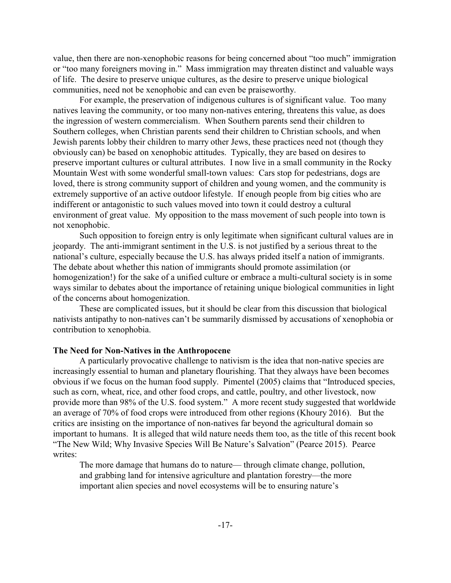value, then there are non-xenophobic reasons for being concerned about "too much" immigration or "too many foreigners moving in." Mass immigration may threaten distinct and valuable ways of life. The desire to preserve unique cultures, as the desire to preserve unique biological communities, need not be xenophobic and can even be praiseworthy.

For example, the preservation of indigenous cultures is of significant value. Too many natives leaving the community, or too many non-natives entering, threatens this value, as does the ingression of western commercialism. When Southern parents send their children to Southern colleges, when Christian parents send their children to Christian schools, and when Jewish parents lobby their children to marry other Jews, these practices need not (though they obviously can) be based on xenophobic attitudes. Typically, they are based on desires to preserve important cultures or cultural attributes. I now live in a small community in the Rocky Mountain West with some wonderful small-town values: Cars stop for pedestrians, dogs are loved, there is strong community support of children and young women, and the community is extremely supportive of an active outdoor lifestyle. If enough people from big cities who are indifferent or antagonistic to such values moved into town it could destroy a cultural environment of great value. My opposition to the mass movement of such people into town is not xenophobic.

Such opposition to foreign entry is only legitimate when significant cultural values are in jeopardy. The anti-immigrant sentiment in the U.S. is not justified by a serious threat to the national's culture, especially because the U.S. has always prided itself a nation of immigrants. The debate about whether this nation of immigrants should promote assimilation (or homogenization!) for the sake of a unified culture or embrace a multi-cultural society is in some ways similar to debates about the importance of retaining unique biological communities in light of the concerns about homogenization.

These are complicated issues, but it should be clear from this discussion that biological nativists antipathy to non-natives can't be summarily dismissed by accusations of xenophobia or contribution to xenophobia.

### **The Need for Non-Natives in the Anthropocene**

A particularly provocative challenge to nativism is the idea that non-native species are increasingly essential to human and planetary flourishing. That they always have been becomes obvious if we focus on the human food supply. Pimentel (2005) claims that "Introduced species, such as corn, wheat, rice, and other food crops, and cattle, poultry, and other livestock, now provide more than 98% of the U.S. food system." A more recent study suggested that worldwide an average of 70% of food crops were introduced from other regions (Khoury 2016). But the critics are insisting on the importance of non-natives far beyond the agricultural domain so important to humans. It is alleged that wild nature needs them too, as the title of this recent book "The New Wild; Why Invasive Species Will Be Nature's Salvation" (Pearce 2015). Pearce writes:

The more damage that humans do to nature— through climate change, pollution, and grabbing land for intensive agriculture and plantation forestry—the more important alien species and novel ecosystems will be to ensuring nature's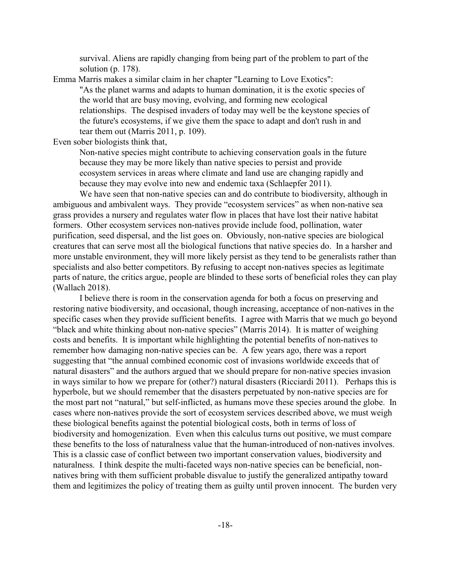survival. Aliens are rapidly changing from being part of the problem to part of the solution (p. 178).

Emma Marris makes a similar claim in her chapter "Learning to Love Exotics":

"As the planet warms and adapts to human domination, it is the exotic species of the world that are busy moving, evolving, and forming new ecological relationships. The despised invaders of today may well be the keystone species of the future's ecosystems, if we give them the space to adapt and don't rush in and tear them out (Marris 2011, p. 109).

Even sober biologists think that,

Non-native species might contribute to achieving conservation goals in the future because they may be more likely than native species to persist and provide ecosystem services in areas where climate and land use are changing rapidly and because they may evolve into new and endemic taxa (Schlaepfer 2011).

We have seen that non-native species can and do contribute to biodiversity, although in ambiguous and ambivalent ways. They provide "ecosystem services" as when non-native sea grass provides a nursery and regulates water flow in places that have lost their native habitat formers. Other ecosystem services non-natives provide include food, pollination, water purification, seed dispersal, and the list goes on. Obviously, non-native species are biological creatures that can serve most all the biological functions that native species do. In a harsher and more unstable environment, they will more likely persist as they tend to be generalists rather than specialists and also better competitors. By refusing to accept non-natives species as legitimate parts of nature, the critics argue, people are blinded to these sorts of beneficial roles they can play (Wallach 2018).

I believe there is room in the conservation agenda for both a focus on preserving and restoring native biodiversity, and occasional, though increasing, acceptance of non-natives in the specific cases when they provide sufficient benefits. I agree with Marris that we much go beyond "black and white thinking about non-native species" (Marris 2014). It is matter of weighing costs and benefits. It is important while highlighting the potential benefits of non-natives to remember how damaging non-native species can be. A few years ago, there was a report suggesting that "the annual combined economic cost of invasions worldwide exceeds that of natural disasters" and the authors argued that we should prepare for non-native species invasion in ways similar to how we prepare for (other?) natural disasters (Ricciardi 2011). Perhaps this is hyperbole, but we should remember that the disasters perpetuated by non-native species are for the most part not "natural," but self-inflicted, as humans move these species around the globe. In cases where non-natives provide the sort of ecosystem services described above, we must weigh these biological benefits against the potential biological costs, both in terms of loss of biodiversity and homogenization. Even when this calculus turns out positive, we must compare these benefits to the loss of naturalness value that the human-introduced of non-natives involves. This is a classic case of conflict between two important conservation values, biodiversity and naturalness. I think despite the multi-faceted ways non-native species can be beneficial, nonnatives bring with them sufficient probable disvalue to justify the generalized antipathy toward them and legitimizes the policy of treating them as guilty until proven innocent. The burden very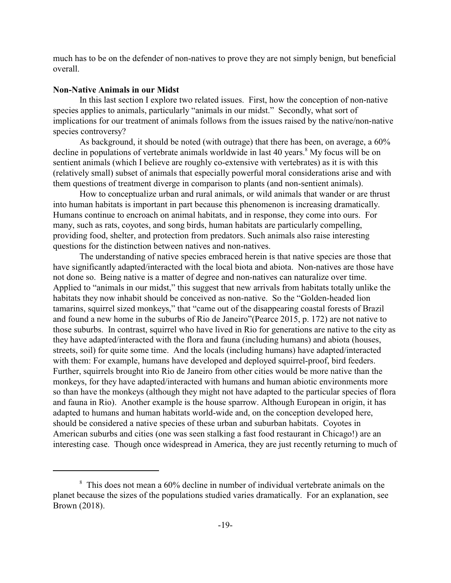much has to be on the defender of non-natives to prove they are not simply benign, but beneficial overall.

# **Non-Native Animals in our Midst**

In this last section I explore two related issues. First, how the conception of non-native species applies to animals, particularly "animals in our midst." Secondly, what sort of implications for our treatment of animals follows from the issues raised by the native/non-native species controversy?

As background, it should be noted (with outrage) that there has been, on average, a 60% decline in populations of vertebrate animals worldwide in last 40 years.<sup>8</sup> My focus will be on sentient animals (which I believe are roughly co-extensive with vertebrates) as it is with this (relatively small) subset of animals that especially powerful moral considerations arise and with them questions of treatment diverge in comparison to plants (and non-sentient animals).

How to conceptualize urban and rural animals, or wild animals that wander or are thrust into human habitats is important in part because this phenomenon is increasing dramatically. Humans continue to encroach on animal habitats, and in response, they come into ours. For many, such as rats, coyotes, and song birds, human habitats are particularly compelling, providing food, shelter, and protection from predators. Such animals also raise interesting questions for the distinction between natives and non-natives.

The understanding of native species embraced herein is that native species are those that have significantly adapted/interacted with the local biota and abiota. Non-natives are those have not done so. Being native is a matter of degree and non-natives can naturalize over time. Applied to "animals in our midst," this suggest that new arrivals from habitats totally unlike the habitats they now inhabit should be conceived as non-native. So the "Golden-headed lion tamarins, squirrel sized monkeys," that "came out of the disappearing coastal forests of Brazil and found a new home in the suburbs of Rio de Janeiro"(Pearce 2015, p. 172) are not native to those suburbs. In contrast, squirrel who have lived in Rio for generations are native to the city as they have adapted/interacted with the flora and fauna (including humans) and abiota (houses, streets, soil) for quite some time. And the locals (including humans) have adapted/interacted with them: For example, humans have developed and deployed squirrel-proof, bird feeders. Further, squirrels brought into Rio de Janeiro from other cities would be more native than the monkeys, for they have adapted/interacted with humans and human abiotic environments more so than have the monkeys (although they might not have adapted to the particular species of flora and fauna in Rio). Another example is the house sparrow. Although European in origin, it has adapted to humans and human habitats world-wide and, on the conception developed here, should be considered a native species of these urban and suburban habitats. Coyotes in American suburbs and cities (one was seen stalking a fast food restaurant in Chicago!) are an interesting case. Though once widespread in America, they are just recently returning to much of

<sup>&</sup>lt;sup>8</sup> This does not mean a 60% decline in number of individual vertebrate animals on the planet because the sizes of the populations studied varies dramatically. For an explanation, see Brown (2018).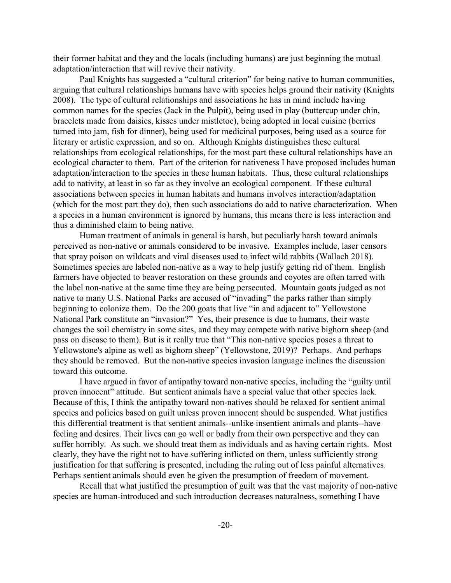their former habitat and they and the locals (including humans) are just beginning the mutual adaptation/interaction that will revive their nativity.

Paul Knights has suggested a "cultural criterion" for being native to human communities, arguing that cultural relationships humans have with species helps ground their nativity (Knights 2008). The type of cultural relationships and associations he has in mind include having common names for the species (Jack in the Pulpit), being used in play (buttercup under chin, bracelets made from daisies, kisses under mistletoe), being adopted in local cuisine (berries turned into jam, fish for dinner), being used for medicinal purposes, being used as a source for literary or artistic expression, and so on. Although Knights distinguishes these cultural relationships from ecological relationships, for the most part these cultural relationships have an ecological character to them. Part of the criterion for nativeness I have proposed includes human adaptation/interaction to the species in these human habitats. Thus, these cultural relationships add to nativity, at least in so far as they involve an ecological component. If these cultural associations between species in human habitats and humans involves interaction/adaptation (which for the most part they do), then such associations do add to native characterization. When a species in a human environment is ignored by humans, this means there is less interaction and thus a diminished claim to being native.

Human treatment of animals in general is harsh, but peculiarly harsh toward animals perceived as non-native or animals considered to be invasive. Examples include, laser censors that spray poison on wildcats and viral diseases used to infect wild rabbits (Wallach 2018). Sometimes species are labeled non-native as a way to help justify getting rid of them. English farmers have objected to beaver restoration on these grounds and coyotes are often tarred with the label non-native at the same time they are being persecuted. Mountain goats judged as not native to many U.S. National Parks are accused of "invading" the parks rather than simply beginning to colonize them. Do the 200 goats that live "in and adjacent to" Yellowstone National Park constitute an "invasion?" Yes, their presence is due to humans, their waste changes the soil chemistry in some sites, and they may compete with native bighorn sheep (and pass on disease to them). But is it really true that "This non-native species poses a threat to Yellowstone's alpine as well as bighorn sheep" (Yellowstone, 2019)? Perhaps. And perhaps they should be removed. But the non-native species invasion language inclines the discussion toward this outcome.

I have argued in favor of antipathy toward non-native species, including the "guilty until proven innocent" attitude. But sentient animals have a special value that other species lack. Because of this, I think the antipathy toward non-natives should be relaxed for sentient animal species and policies based on guilt unless proven innocent should be suspended. What justifies this differential treatment is that sentient animals--unlike insentient animals and plants--have feeling and desires. Their lives can go well or badly from their own perspective and they can suffer horribly. As such. we should treat them as individuals and as having certain rights. Most clearly, they have the right not to have suffering inflicted on them, unless sufficiently strong justification for that suffering is presented, including the ruling out of less painful alternatives. Perhaps sentient animals should even be given the presumption of freedom of movement.

Recall that what justified the presumption of guilt was that the vast majority of non-native species are human-introduced and such introduction decreases naturalness, something I have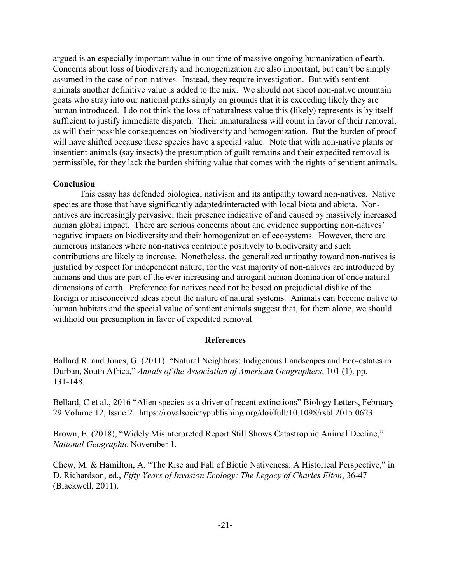argued is an especially important value in our time of massive ongoing humanization of earth. Concerns about loss of biodiversity and homogenization are also important, but can't be simply assumed in the case of non-natives. Instead, they require investigation. But with sentient animals another definitive value is added to the mix. We should not shoot non-native mountain goats who stray into our national parks simply on grounds that it is exceeding likely they are human introduced. I do not think the loss of naturalness value this (likely) represents is by itself sufficient to justify immediate dispatch. Their unnaturalness will count in favor of their removal, as will their possible consequences on biodiversity and homogenization. But the burden of proof will have shifted because these species have a special value. Note that with non-native plants or insentient animals (say insects) the presumption of guilt remains and their expedited removal is permissible, for they lack the burden shifting value that comes with the rights of sentient animals.

# **Conclusion**

This essay has defended biological nativism and its antipathy toward non-natives. Native species are those that have significantly adapted/interacted with local biota and abiota. Nonnatives are increasingly pervasive, their presence indicative of and caused by massively increased human global impact. There are serious concerns about and evidence supporting non-natives' negative impacts on biodiversity and their homogenization of ecosystems. However, there are numerous instances where non-natives contribute positively to biodiversity and such contributions are likely to increase. Nonetheless, the generalized antipathy toward non-natives is justified by respect for independent nature, for the vast majority of non-natives are introduced by humans and thus are part of the ever increasing and arrogant human domination of once natural dimensions of earth. Preference for natives need not be based on prejudicial dislike of the foreign or misconceived ideas about the nature of natural systems. Animals can become native to human habitats and the special value of sentient animals suggest that, for them alone, we should withhold our presumption in favor of expedited removal.

# **References**

Ballard R. and Jones, G. (2011). "Natural Neighbors: Indigenous Landscapes and Eco-estates in Durban, South Africa," *Annals of the Association of American Geographers*, 101 (1). pp. 131-148.

Bellard, C et al., 2016 "Alien species as a driver of recent extinctions" Biology Letters, February 29 Volume 12, Issue 2 https://royalsocietypublishing.org/doi/full/10.1098/rsbl.2015.0623

Brown, E. (2018), "Widely Misinterpreted Report Still Shows Catastrophic Animal Decline," *National Geographic* November 1.

Chew, M. & Hamilton, A. "The Rise and Fall of Biotic Nativeness: A Historical Perspective," in D. Richardson, ed., *Fifty Years of Invasion Ecology: The Legacy of Charles Elton*, 36-47 (Blackwell, 2011).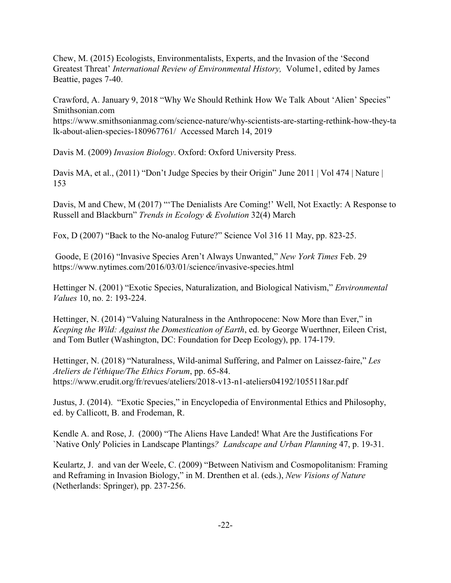Chew, M. (2015) Ecologists, Environmentalists, Experts, and the Invasion of the 'Second Greatest Threat' *International Review of Environmental History,* Volume1, edited by James Beattie, pages 7-40.

Crawford, A. January 9, 2018 "Why We Should Rethink How We Talk About 'Alien' Species" Smithsonian.com https://www.smithsonianmag.com/science-nature/why-scientists-are-starting-rethink-how-they-ta

lk-about-alien-species-180967761/ Accessed March 14, 2019

Davis M. (2009) *Invasion Biology*. Oxford: Oxford University Press.

Davis MA, et al., (2011) "Don't Judge Species by their Origin" June 2011 | Vol 474 | Nature | 153

Davis, M and Chew, M (2017) "The Denialists Are Coming!' Well, Not Exactly: A Response to Russell and Blackburn" *Trends in Ecology & Evolution* 32(4) March

Fox, D (2007) "Back to the No-analog Future?" Science Vol 316 11 May, pp. 823-25.

 Goode, E (2016) "Invasive Species Aren't Always Unwanted," *New York Times* Feb. 29 https://www.nytimes.com/2016/03/01/science/invasive-species.html

Hettinger N. (2001) "Exotic Species, Naturalization, and Biological Nativism," *Environmental Values* 10, no. 2: 193-224.

Hettinger, N. (2014) "Valuing Naturalness in the Anthropocene: Now More than Ever," in *Keeping the Wild: Against the Domestication of Earth*, ed. by George Wuerthner, Eileen Crist, and Tom Butler (Washington, DC: Foundation for Deep Ecology), pp. 174-179.

Hettinger, N. (2018) "Naturalness, Wild-animal Suffering, and Palmer on Laissez-faire," *Les Ateliers de l'éthique/The Ethics Forum*, pp. 65-84. https://www.erudit.org/fr/revues/ateliers/2018-v13-n1-ateliers04192/1055118ar.pdf

Justus, J. (2014). "Exotic Species," in Encyclopedia of Environmental Ethics and Philosophy, ed. by Callicott, B. and Frodeman, R.

Kendle A. and Rose, J. (2000) "The Aliens Have Landed! What Are the Justifications For `Native Only' Policies in Landscape Plantings*? Landscape and Urban Planning* 47, p. 19-31.

Keulartz, J. and van der Weele, C. (2009) "Between Nativism and Cosmopolitanism: Framing and Reframing in Invasion Biology," in M. Drenthen et al. (eds.), *New Visions of Nature* (Netherlands: Springer), pp. 237-256.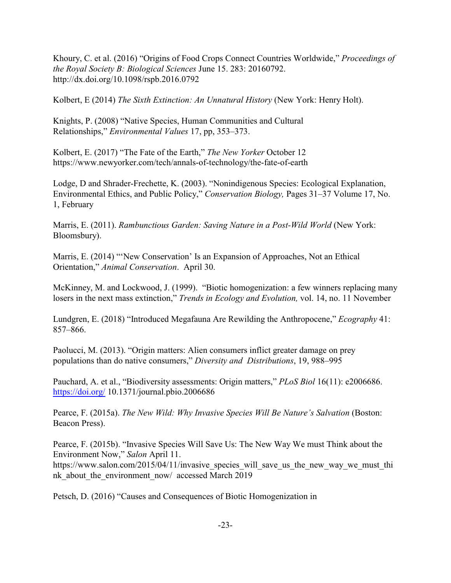Khoury, C. et al. (2016) "Origins of Food Crops Connect Countries Worldwide," *Proceedings of the Royal Society B: Biological Sciences* June 15. 283: 20160792. http://dx.doi.org/10.1098/rspb.2016.0792

Kolbert, E (2014) *The Sixth Extinction: An Unnatural History* (New York: Henry Holt).

Knights, P. (2008) "Native Species, Human Communities and Cultural Relationships," *Environmental Values* 17, pp, 353–373.

Kolbert, E. (2017) "The Fate of the Earth," *The New Yorker* October 12 https://www.newyorker.com/tech/annals-of-technology/the-fate-of-earth

Lodge, D and Shrader-Frechette, K. (2003). "Nonindigenous Species: Ecological Explanation, Environmental Ethics, and Public Policy," *Conservation Biology,* Pages 31–37 Volume 17, No. 1, February

Marris, E. (2011). *Rambunctious Garden: Saving Nature in a Post-Wild World* (New York: Bloomsbury).

Marris, E. (2014) "'New Conservation' Is an Expansion of Approaches, Not an Ethical Orientation," *Animal Conservation*. April 30.

McKinney, M. and Lockwood, J. (1999). "Biotic homogenization: a few winners replacing many losers in the next mass extinction," *Trends in Ecology and Evolution,* vol. 14, no. 11 November

Lundgren, E. (2018) "Introduced Megafauna Are Rewilding the Anthropocene," *Ecography* 41: 857–866.

Paolucci, M. (2013). "Origin matters: Alien consumers inflict greater damage on prey populations than do native consumers," *Diversity and Distributions*, 19, 988–995

Pauchard, A. et al., "Biodiversity assessments: Origin matters," *PLoS Biol* 16(11): e2006686. <https://doi.org/> 10.1371/journal.pbio.2006686

Pearce, F. (2015a). *The New Wild: Why Invasive Species Will Be Nature's Salvation* (Boston: Beacon Press).

Pearce, F. (2015b). "Invasive Species Will Save Us: The New Way We must Think about the Environment Now," *Salon* April 11.

https://www.salon.com/2015/04/11/invasive species will save us the new way we must thi nk about the environment now/ accessed March 2019

Petsch, D. (2016) "Causes and Consequences of Biotic Homogenization in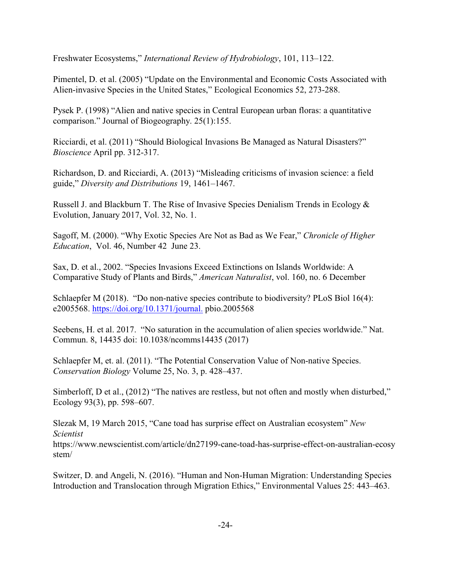Freshwater Ecosystems," *International Review of Hydrobiology*, 101, 113–122.

Pimentel, D. et al. (2005) "Update on the Environmental and Economic Costs Associated with Alien-invasive Species in the United States," Ecological Economics 52, 273-288.

Pysek P. (1998) "Alien and native species in Central European urban floras: a quantitative comparison." Journal of Biogeography. 25(1):155.

Ricciardi, et al. (2011) "Should Biological Invasions Be Managed as Natural Disasters?" *Bioscience* April pp. 312-317.

Richardson, D. and Ricciardi, A. (2013) "Misleading criticisms of invasion science: a field guide," *Diversity and Distributions* 19, 1461–1467.

Russell J. and Blackburn T. The Rise of Invasive Species Denialism Trends in Ecology & Evolution, January 2017, Vol. 32, No. 1.

Sagoff, M. (2000). "Why Exotic Species Are Not as Bad as We Fear," *Chronicle of Higher Education*, Vol. 46, Number 42 June 23.

Sax, D. et al., 2002. "Species Invasions Exceed Extinctions on Islands Worldwide: A Comparative Study of Plants and Birds," *American Naturalist*, vol. 160, no. 6 December

Schlaepfer M (2018). "Do non-native species contribute to biodiversity? PLoS Biol 16(4): e2005568.<https://doi.org/10.1371/journal.> pbio.2005568

Seebens, H. et al. 2017. "No saturation in the accumulation of alien species worldwide." Nat. Commun. 8, 14435 doi: 10.1038/ncomms14435 (2017)

Schlaepfer M, et. al. (2011). "The Potential Conservation Value of Non-native Species. *Conservation Biology* Volume 25, No. 3, p. 428–437.

Simberloff, D et al., (2012) "The natives are restless, but not often and mostly when disturbed," Ecology 93(3), pp. 598–607.

Slezak M, 19 March 2015, "Cane toad has surprise effect on Australian ecosystem" *New Scientist*

https://www.newscientist.com/article/dn27199-cane-toad-has-surprise-effect-on-australian-ecosy stem/

Switzer, D. and Angeli, N. (2016). "Human and Non-Human Migration: Understanding Species Introduction and Translocation through Migration Ethics," Environmental Values 25: 443–463.